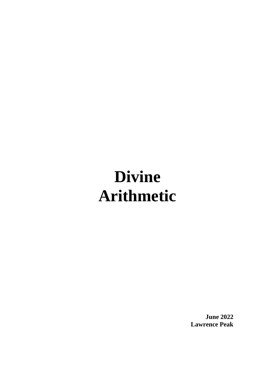## **Divine Arithmetic**

**June 2022 Lawrence Peak**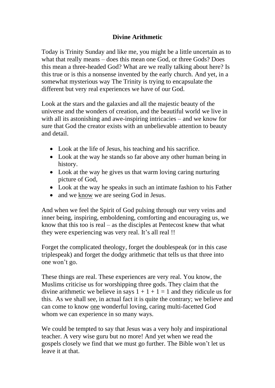## **Divine Arithmetic**

Today is Trinity Sunday and like me, you might be a little uncertain as to what that really means – does this mean one God, or three Gods? Does this mean a three-headed God? What are we really talking about here? Is this true or is this a nonsense invented by the early church. And yet, in a somewhat mysterious way The Trinity is trying to encapsulate the different but very real experiences we have of our God.

Look at the stars and the galaxies and all the majestic beauty of the universe and the wonders of creation, and the beautiful world we live in with all its astonishing and awe-inspiring intricacies – and we know for sure that God the creator exists with an unbelievable attention to beauty and detail.

- Look at the life of Jesus, his teaching and his sacrifice.
- Look at the way he stands so far above any other human being in history.
- Look at the way he gives us that warm loving caring nurturing picture of God,
- Look at the way he speaks in such an intimate fashion to his Father
- and we know we are seeing God in Jesus.

And when we feel the Spirit of God pulsing through our very veins and inner being, inspiring, emboldening, comforting and encouraging us, we know that this too is real – as the disciples at Pentecost knew that what they were experiencing was very real. It's all real !!

Forget the complicated theology, forget the doublespeak (or in this case triplespeak) and forget the dodgy arithmetic that tells us that three into one won't go.

These things are real. These experiences are very real. You know, the Muslims criticise us for worshipping three gods. They claim that the divine arithmetic we believe in says  $1 + 1 + 1 = 1$  and they ridicule us for this. As we shall see, in actual fact it is quite the contrary; we believe and can come to know one wonderful loving, caring multi-facetted God whom we can experience in so many ways.

We could be tempted to say that Jesus was a very holy and inspirational teacher. A very wise guru but no more! And yet when we read the gospels closely we find that we must go further. The Bible won't let us leave it at that.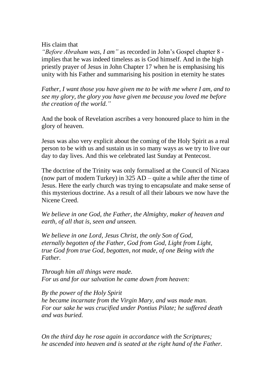## His claim that

*"Before Abraham was, I am"* as recorded in John's Gospel chapter 8 implies that he was indeed timeless as is God himself. And in the high priestly prayer of Jesus in John Chapter 17 when he is emphasising his unity with his Father and summarising his position in eternity he states

*Father, I want those you have given me to be with me where I am, and to see my glory, the glory you have given me because you loved me before the creation of the world."*

And the book of Revelation ascribes a very honoured place to him in the glory of heaven.

Jesus was also very explicit about the coming of the Holy Spirit as a real person to be with us and sustain us in so many ways as we try to live our day to day lives. And this we celebrated last Sunday at Pentecost.

The doctrine of the Trinity was only formalised at the Council of Nicaea (now part of modern Turkey) in 325 AD – quite a while after the time of Jesus. Here the early church was trying to encapsulate and make sense of this mysterious doctrine. As a result of all their labours we now have the Nicene Creed.

*We believe in one God, the Father, the Almighty, maker of heaven and earth, of all that is, seen and unseen.*

*We believe in one Lord, Jesus Christ, the only Son of God, eternally begotten of the Father, God from God, Light from Light, true God from true God, begotten, not made, of one Being with the Father.*

*Through him all things were made. For us and for our salvation he came down from heaven:*

*By the power of the Holy Spirit he became incarnate from the Virgin Mary, and was made man. For our sake he was crucified under Pontius Pilate; he suffered death and was buried.*

*On the third day he rose again in accordance with the Scriptures; he ascended into heaven and is seated at the right hand of the Father.*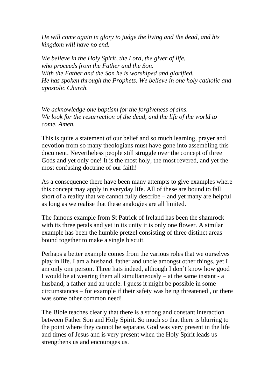*He will come again in glory to judge the living and the dead, and his kingdom will have no end.*

*We believe in the Holy Spirit, the Lord, the giver of life, who proceeds from the Father and the Son. With the Father and the Son he is worshiped and glorified. He has spoken through the Prophets. We believe in one holy catholic and apostolic Church.*

*We acknowledge one baptism for the forgiveness of sins. We look for the resurrection of the dead, and the life of the world to come. Amen.*

This is quite a statement of our belief and so much learning, prayer and devotion from so many theologians must have gone into assembling this document. Nevertheless people still struggle over the concept of three Gods and yet only one! It is the most holy, the most revered, and yet the most confusing doctrine of our faith!

As a consequence there have been many attempts to give examples where this concept may apply in everyday life. All of these are bound to fall short of a reality that we cannot fully describe – and yet many are helpful as long as we realise that these analogies are all limited.

The famous example from St Patrick of Ireland has been the shamrock with its three petals and yet in its unity it is only one flower. A similar example has been the humble pretzel consisting of three distinct areas bound together to make a single biscuit.

Perhaps a better example comes from the various roles that we ourselves play in life. I am a husband, father and uncle amongst other things, yet I am only one person. Three hats indeed, although I don't know how good I would be at wearing them all simultaneously – at the same instant - a husband, a father and an uncle. I guess it might be possible in some circumstances – for example if their safety was being threatened , or there was some other common need!

The Bible teaches clearly that there is a strong and constant interaction between Father Son and Holy Spirit. So much so that there is blurring to the point where they cannot be separate. God was very present in the life and times of Jesus and is very present when the Holy Spirit leads us strengthens us and encourages us.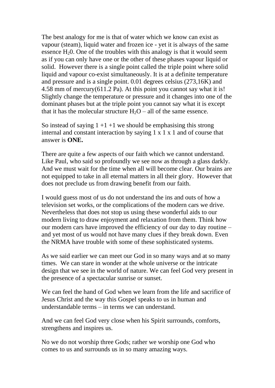The best analogy for me is that of water which we know can exist as vapour (steam), liquid water and frozen ice - yet it is always of the same essence  $H<sub>2</sub>0$ . One of the troubles with this analogy is that it would seem as if you can only have one or the other of these phases vapour liquid or solid. However there is a single point called the triple point where solid liquid and vapour co-exist simultaneously. It is at a definite temperature and pressure and is a single point. 0.01 degrees celsius (273,16K) and 4.58 mm of mercury(611.2 Pa). At this point you cannot say what it is! Slightly change the temperature or pressure and it changes into one of the dominant phases but at the triple point you cannot say what it is except that it has the molecular structure  $H_2O - \text{all}$  of the same essence.

So instead of saying  $1 + 1 + 1$  we should be emphasising this strong internal and constant interaction by saying 1 x 1 x 1 and of course that answer is **ONE.**

There are quite a few aspects of our faith which we cannot understand. Like Paul, who said so profoundly we see now as through a glass darkly. And we must wait for the time when all will become clear. Our brains are not equipped to take in all eternal matters in all their glory. However that does not preclude us from drawing benefit from our faith.

I would guess most of us do not understand the ins and outs of how a television set works, or the complications of the modern cars we drive. Nevertheless that does not stop us using these wonderful aids to our modern living to draw enjoyment and relaxation from them. Think how our modern cars have improved the efficiency of our day to day routine – and yet most of us would not have many clues if they break down. Even the NRMA have trouble with some of these sophisticated systems.

As we said earlier we can meet our God in so many ways and at so many times. We can stare in wonder at the whole universe or the intricate design that we see in the world of nature. We can feel God very present in the presence of a spectacular sunrise or sunset.

We can feel the hand of God when we learn from the life and sacrifice of Jesus Christ and the way this Gospel speaks to us in human and understandable terms – in terms we can understand.

And we can feel God very close when his Spirit surrounds, comforts, strengthens and inspires us.

No we do not worship three Gods; rather we worship one God who comes to us and surrounds us in so many amazing ways.